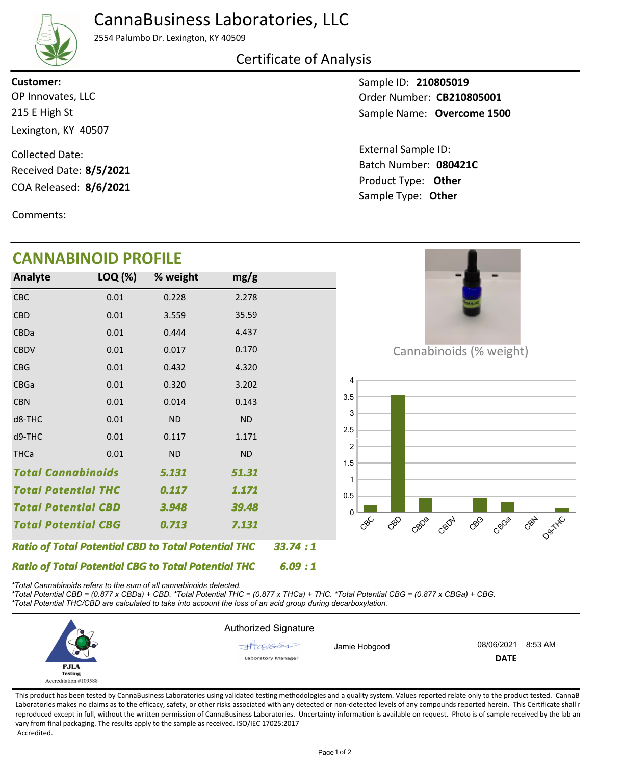## CannaBusiness Laboratories, LLC



2554 Palumbo Dr. Lexington, KY 40509

### Certificate of Analysis

215 E High St Lexington, KY 40507 OP Innovates, LLC **Customer:**

COA Released: 8/6/2021 Collected Date: Received Date: **8/5/2021**

Comments:

# **CANNABINOID PROFILE**

Sample ID: **210805019** Sample Name: **Overcome 1500** Order Number: CB210805001

Product Type: **Other 8/6/2021 080421C** Batch Number: External Sample ID: Sample Type: **Other**

| <b>CANNABI</b>                                             | <b>NOID PROFILE</b> |                                                            |           |         |
|------------------------------------------------------------|---------------------|------------------------------------------------------------|-----------|---------|
| Analyte                                                    | LOQ (%)             | % weight                                                   | mg/g      |         |
| <b>CBC</b>                                                 | 0.01                | 0.228                                                      | 2.278     |         |
| <b>CBD</b>                                                 | 0.01                | 3.559                                                      | 35.59     |         |
| CBDa                                                       | 0.01                | 0.444                                                      | 4.437     |         |
| <b>CBDV</b>                                                | 0.01                | 0.017                                                      | 0.170     |         |
| <b>CBG</b>                                                 | 0.01                | 0.432                                                      | 4.320     |         |
| CBGa                                                       | 0.01                | 0.320                                                      | 3.202     |         |
| <b>CBN</b>                                                 | 0.01                | 0.014                                                      | 0.143     |         |
| d8-THC                                                     | 0.01                | <b>ND</b>                                                  | <b>ND</b> |         |
| d9-THC                                                     | 0.01                | 0.117                                                      | 1.171     |         |
| <b>THCa</b>                                                | 0.01                | <b>ND</b>                                                  | <b>ND</b> |         |
| <b>Total Cannabinoids</b>                                  |                     | 5.131                                                      | 51.31     |         |
| <b>Total Potential THC</b>                                 |                     | 0.117                                                      | 1.171     |         |
| <b>Total Potential CBD</b>                                 |                     | 3.948                                                      | 39.48     |         |
| <b>Total Potential CBG</b>                                 |                     | 0.713                                                      | 7.131     |         |
|                                                            |                     | <b>Ratio of Total Potential CBD to Total Potential THC</b> |           | 33.74:1 |
| <b>Ratio of Total Potential CBG to Total Potential THC</b> |                     |                                                            |           | 6.09:1  |

*\*Total Cannabinoids refers to the sum of all cannabinoids detected.*

*\*Total Potential CBD = (0.877 x CBDa) + CBD. \*Total Potential THC = (0.877 x THCa) + THC. \*Total Potential CBG = (0.877 x CBGa) + CBG. \*Total Potential THC/CBD are calculated to take into account the loss of an acid group during decarboxylation.*



This product has been tested by CannaBusiness Laboratories using validated testing methodologies and a quality system. Values reported relate only to the product tested. CannaB Laboratories makes no claims as to the efficacy, safety, or other risks associated with any detected or non-detected levels of any compounds reported herein. This Certificate shall r reproduced except in full, without the written permission of CannaBusiness Laboratories. Uncertainty information is available on request. Photo is of sample received by the lab an vary from final packaging. The results apply to the sample as received. ISO/IEC 17025:2017 Accredited.